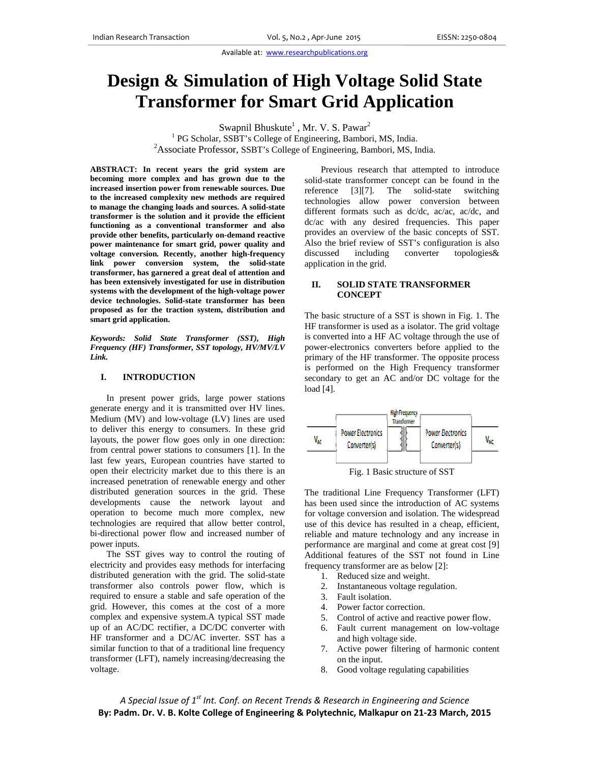Available at: www.researchpublications.org

# **Design & Simulation of High Voltage Solid State Transformer for Smart Grid Application**

Swapnil Bhuskute<sup>1</sup>, Mr. V. S. Pawar<sup>2</sup>

<sup>1</sup> PG Scholar, SSBT's College of Engineering, Bambori, MS, India. <sup>2</sup>Associate Professor, SSBT's College of Engineering, Bambori, MS, India.

ABSTRACT: In recent years the grid system are becoming more complex and has grown due to the increased insertion power from renewable sources. Due to the increased complexity new methods are required to manage the changing loads and sources. A solid-state transformer is the solution and it provide the efficient functioning as a conventional transformer and also provide other benefits, particularly on-demand reactive power maintenance for smart grid, power quality and voltage conversion. Recently, another high-frequency link power conversion system, the solid-state transformer, has garnered a great deal of attention and has been extensively investigated for use in distribution systems with the development of the high-voltage power device technologies. Solid-state transformer has been proposed as for the traction system, distribution and smart grid application.

Keywords: Solid State Transformer (SST), High Frequency (HF) Transformer, SST topology, HV/MV/LV Link.

#### L. **INTRODUCTION**

In present power grids, large power stations generate energy and it is transmitted over HV lines. Medium (MV) and low-voltage (LV) lines are used to deliver this energy to consumers. In these grid layouts, the power flow goes only in one direction: from central power stations to consumers [1]. In the last few years, European countries have started to open their electricity market due to this there is an increased penetration of renewable energy and other distributed generation sources in the grid. These developments cause the network layout and operation to become much more complex, new technologies are required that allow better control, bi-directional power flow and increased number of power inputs.

The SST gives way to control the routing of electricity and provides easy methods for interfacing distributed generation with the grid. The solid-state transformer also controls power flow, which is required to ensure a stable and safe operation of the grid. However, this comes at the cost of a more complex and expensive system.A typical SST made up of an AC/DC rectifier, a DC/DC converter with HF transformer and a DC/AC inverter. SST has a similar function to that of a traditional line frequency transformer (LFT), namely increasing/decreasing the voltage.

Previous research that attempted to introduce solid-state transformer concept can be found in the reference  $[3][7]$ . The solid-state switching technologies allow power conversion between different formats such as dc/dc, ac/ac, ac/dc, and dc/ac with any desired frequencies. This paper provides an overview of the basic concepts of SST. Also the brief review of SST's configuration is also discussed including converter topologies& application in the grid.

#### II. **SOLID STATE TRANSFORMER CONCEPT**

The basic structure of a SST is shown in Fig. 1. The HF transformer is used as a isolator. The grid voltage is converted into a HF AC voltage through the use of power-electronics converters before applied to the primary of the HF transformer. The opposite process is performed on the High Frequency transformer secondary to get an AC and/or DC voltage for the load  $[4]$ .



Fig. 1 Basic structure of SST

The traditional Line Frequency Transformer (LFT) has been used since the introduction of AC systems for voltage conversion and isolation. The widespread use of this device has resulted in a cheap, efficient, reliable and mature technology and any increase in performance are marginal and come at great cost [9] Additional features of the SST not found in Line frequency transformer are as below [2]:

- 1. Reduced size and weight.
- 2. Instantaneous voltage regulation.
- 3. Fault isolation.
- 4. Power factor correction.
- 5. Control of active and reactive power flow.
- 6. Fault current management on low-voltage and high voltage side.
- 7. Active power filtering of harmonic content on the input.
- 8. Good voltage regulating capabilities

A Special Issue of 1<sup>st</sup> Int. Conf. on Recent Trends & Research in Engineering and Science By: Padm. Dr. V. B. Kolte College of Engineering & Polytechnic, Malkapur on 21-23 March, 2015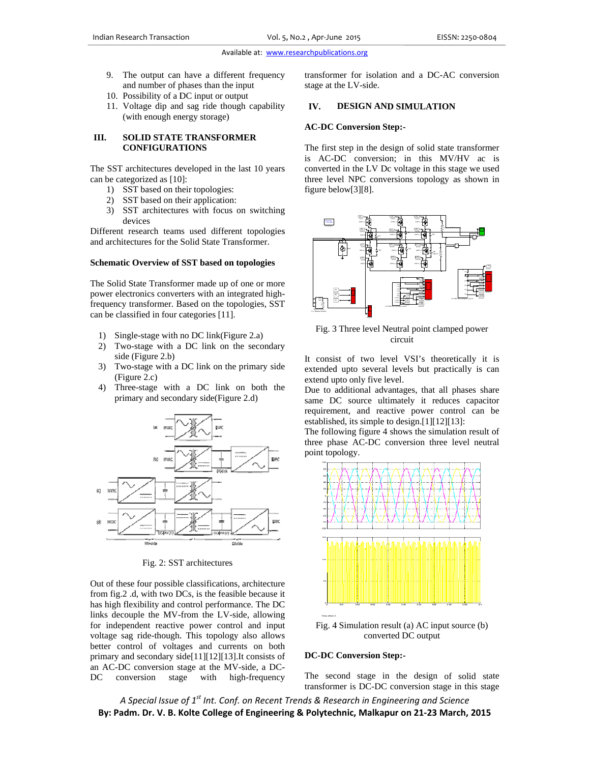## Available at: www.researchpublications.org

- 9. The output can have a different frequency and number of phases than the input
- 10. Possibility of a DC input or output
- 11. Voltage dip and sag ride though capability (with enough energy storage)

#### Ш. **SOLID STATE TRANSFORMER CONFIGURATIONS**

The SST architectures developed in the last 10 years can be categorized as [10]:

- 1) SST based on their topologies:
- 2) SST based on their application:
- 3) SST architectures with focus on switching devices

Different research teams used different topologies and architectures for the Solid State Transformer.

#### **Schematic Overview of SST based on topologies**

The Solid State Transformer made up of one or more power electronics converters with an integrated highfrequency transformer. Based on the topologies, SST can be classified in four categories [11].

- 1) Single-stage with no DC link(Figure 2.a)
- 2) Two-stage with a DC link on the secondary side (Figure 2.b)
- 3) Two-stage with a DC link on the primary side (Figure 2.c)
- 4) Three-stage with a DC link on both the primary and secondary side(Figure 2.d)



Fig. 2: SST architectures

Out of these four possible classifications, architecture from fig.2 .d, with two DCs, is the feasible because it has high flexibility and control performance. The DC links decouple the MV-from the LV-side, allowing for independent reactive power control and input voltage sag ride-though. This topology also allows better control of voltages and currents on both primary and secondary side[11][12][13]. It consists of an AC-DC conversion stage at the MV-side, a DC-DC conversion stage with high-frequency transformer for isolation and a DC-AC conversion stage at the LV-side.

#### IV. **DESIGN AND SIMULATION**

## **AC-DC Conversion Step:-**

The first step in the design of solid state transformer is AC-DC conversion; in this MV/HV ac is converted in the LV Dc voltage in this stage we used three level NPC conversions topology as shown in figure below[3][8].



Fig. 3 Three level Neutral point clamped power circuit

It consist of two level VSI's theoretically it is extended upto several levels but practically is can extend upto only five level.

Due to additional advantages, that all phases share same DC source ultimately it reduces capacitor requirement, and reactive power control can be established, its simple to design.[1][12][13]:

The following figure 4 shows the simulation result of three phase AC-DC conversion three level neutral point topology.



Fig. 4 Simulation result (a) AC input source (b) converted DC output

# **DC-DC Conversion Step:-**

The second stage in the design of solid state transformer is DC-DC conversion stage in this stage

A Special Issue of 1<sup>st</sup> Int. Conf. on Recent Trends & Research in Engineering and Science By: Padm. Dr. V. B. Kolte College of Engineering & Polytechnic, Malkapur on 21-23 March, 2015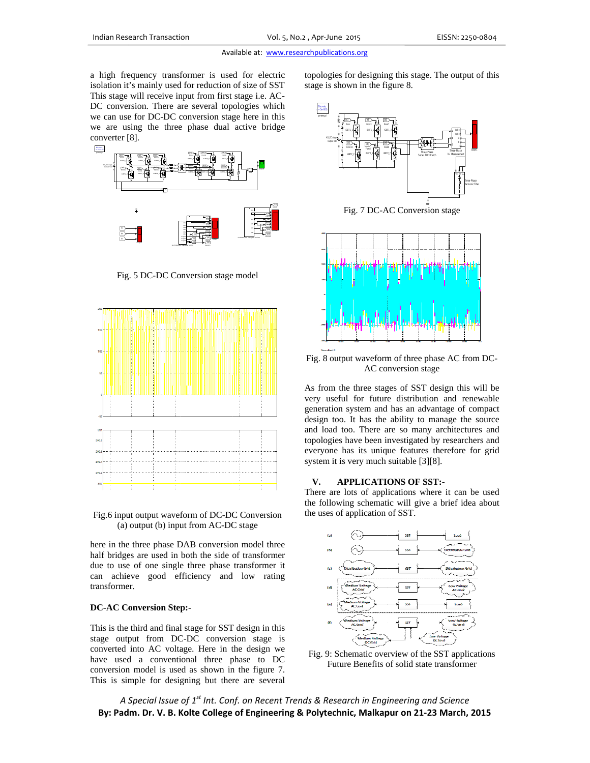a high frequency transformer is used for electric a high frequency transformer is used for electric isolation it's mainly used for reduction of size of SST This stage will receive input from first stage i.e. AC-DC conversion. There are several topologies which we can use for DC-DC conversion stage here in this we are using the three phase dual active bridge converter [ [8].



Fig. 5 DC-DC Conversion stage model



Fig.6 input output waveform of DC-DC Conversion (a) output (b) input from AC-DC stage

here in the three phase DAB conversion model three half bridges are used in both the side of transformer due to use of one single three phase transformer it can achieve good efficiency and low rating transforme er.

#### **DC-AC Co onversion Ste p:-**

This is the third and final stage for SST design in this stage output from DC-DC conversion stage is converted into AC voltage. Here in the design we have used a conventional three phase to DC conversion model is used as shown in the figure 7. This is simple for designing but there are several stage is s shown in the fi gure 8. es for designing this stage. The output of this



Fig. 7 DC-A AC Conversion stage



Fig. 8 output waveform of three phase AC from DC-AC conversion stage

As from the three stages of SST design this will be very useful for future distribution and renewable generation system and has an advantage of compact design too. It has the ability to manage the source and load too. There are so many architectures and topologies have been investigated by researchers and everyone has its unique features therefore for grid system it is very much suitable [3][8].

#### **V. APPLICATIO ONS OF SST :-**

There are lots of applications where it can be used the following schematic will give a brief idea about the uses of application of SST.



Fig. 9: Schematic overview of the SST applications Future Benefits of solid state transformer

A Special Issue of 1<sup>st</sup> Int. Conf. on Recent Trends & Research in Engineering and Science By: Padm. Dr. V. B. Kolte College of Engineering & Polytechnic, Malkapur on 21-23 March, 2015